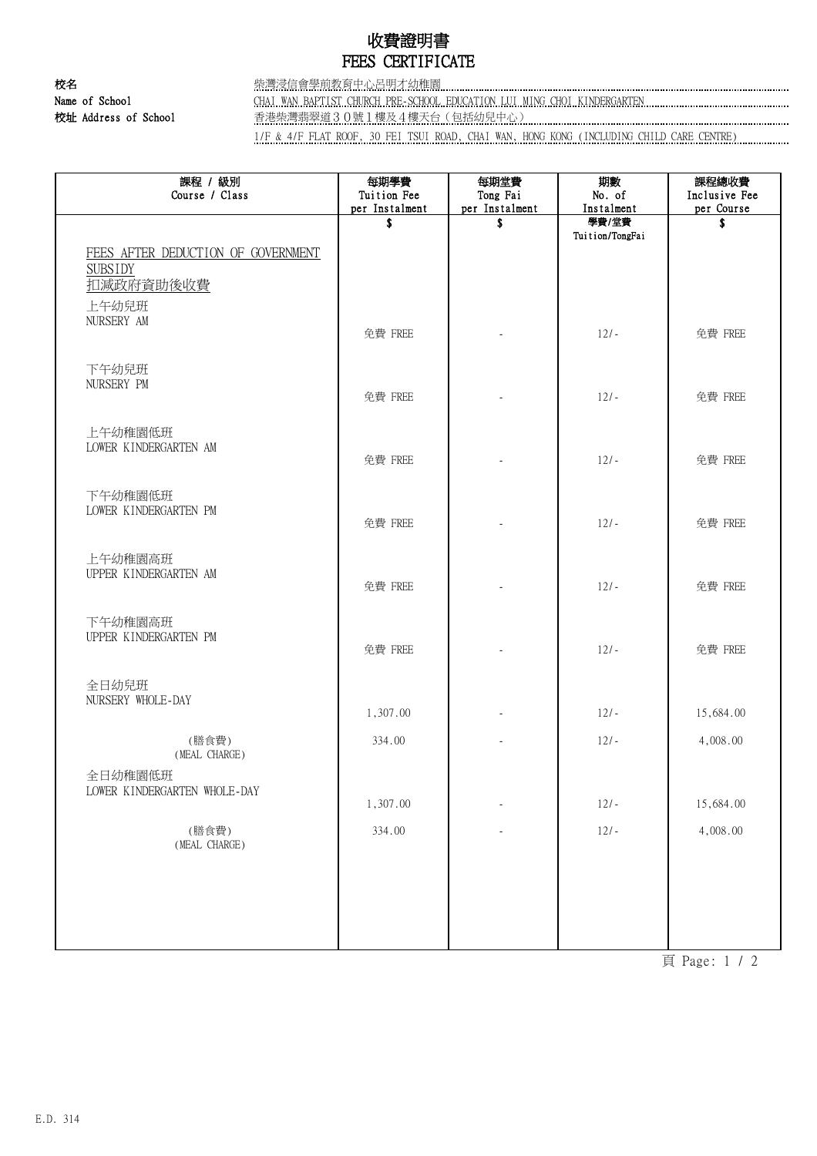## 收費證明書 FEES CERTIFICATE

校名 柴灣浸信會學前教育中心呂明才幼稚園 Name of School CHAI WAN BAPTIST CHURCH PRE-SCHOOL EDUCATION LUI MING CHOI KINDERGARTEN 校址 Address of School 香港柴灣翡翠道30號1樓及4樓天台(包括幼兒中心)

1/F & 4/F FLAT ROOF, 30 FEI TSUI ROAD, CHAI WAN, HONG KONG (INCLUDING CHILD CARE CENTRE)

| 課程 / 級別<br>Course / Class                                                  | 每期學費<br>Tuition Fee<br>per Instalment | 每期堂費<br>Tong Fai<br>per Instalment | 期數<br>No. of<br>Instalment | 課程總收費<br>Inclusive Fee<br>per Course |
|----------------------------------------------------------------------------|---------------------------------------|------------------------------------|----------------------------|--------------------------------------|
|                                                                            | \$                                    | \$                                 | 學費/堂費<br>Tuition/TongFai   | \$                                   |
| FEES AFTER DEDUCTION OF GOVERNMENT<br><b>SUBSIDY</b><br>扣减政府資助後收費<br>上午幼兒班 |                                       |                                    |                            |                                      |
| NURSERY AM                                                                 | 免費 FREE                               |                                    | $12/-$                     | 免費 FREE                              |
| 下午幼兒班<br>NURSERY PM                                                        | 免費 FREE                               |                                    | $12/-$                     | 免費 FREE                              |
| 上午幼稚園低班<br>LOWER KINDERGARTEN AM                                           | 免費 FREE                               |                                    | $12/-$                     | 免費 FREE                              |
| 下午幼稚園低班<br>LOWER KINDERGARTEN PM                                           | 免費 FREE                               |                                    | $12/-$                     | 免費 FREE                              |
| 上午幼稚園高班<br>UPPER KINDERGARTEN AM                                           | 免費 FREE                               |                                    | $12/-$                     | 免費 FREE                              |
| 下午幼稚園高班<br>UPPER KINDERGARTEN PM                                           | 免費 FREE                               |                                    | $12/-$                     | 免費 FREE                              |
| 全日幼兒班<br>NURSERY WHOLE-DAY                                                 | 1,307.00                              |                                    | $12/-$                     | 15,684.00                            |
| (膳食費)                                                                      | 334.00                                |                                    | $12/-$                     | 4,008.00                             |
| (MEAL CHARGE)<br>全日幼稚園低班<br>LOWER KINDERGARTEN WHOLE-DAY                   | 1,307.00                              |                                    | $12/-$                     | 15,684.00                            |
| (膳食費)<br>(MEAL CHARGE)                                                     | 334.00                                |                                    | $12/-$                     | 4,008.00                             |
|                                                                            |                                       |                                    |                            |                                      |
|                                                                            |                                       |                                    |                            |                                      |

頁 Page: 1 / 2